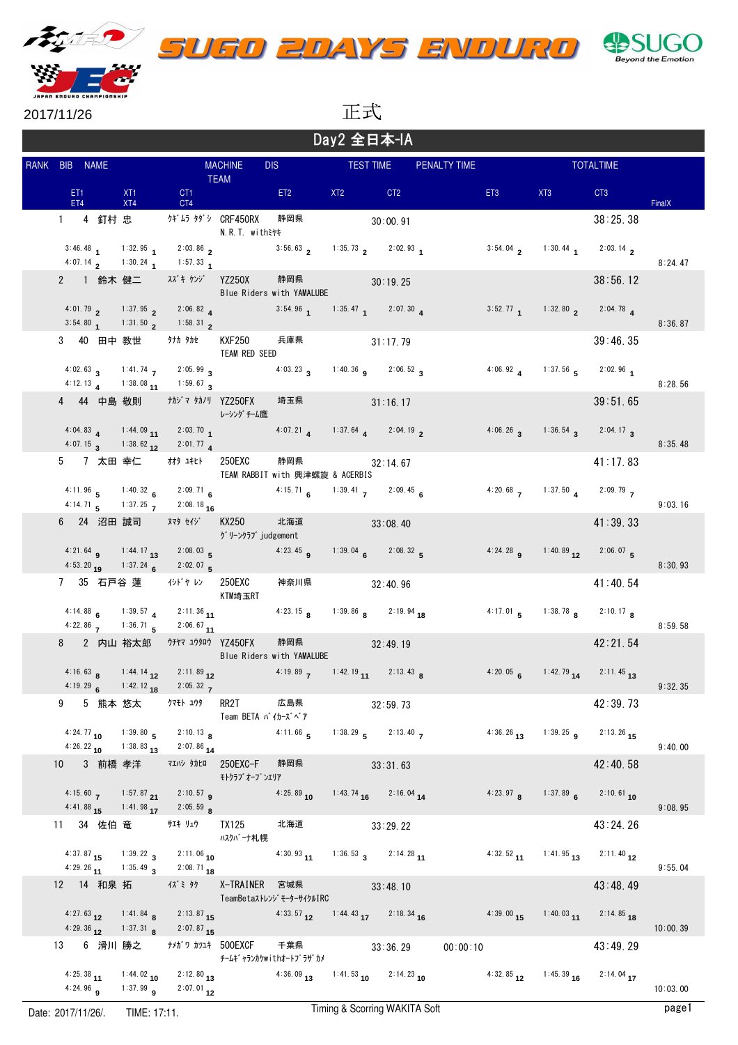





2017/11/26

Day2 全日本-IA 正式

| Day Z 王口 <sub>个</sub> -1A |   |                        |            |                                             |                                                                                                    |                                                     |                                                                                                          |     |                       |                  |                 |                                                     |                         |          |
|---------------------------|---|------------------------|------------|---------------------------------------------|----------------------------------------------------------------------------------------------------|-----------------------------------------------------|----------------------------------------------------------------------------------------------------------|-----|-----------------------|------------------|-----------------|-----------------------------------------------------|-------------------------|----------|
|                           |   | RANK BIB NAME          |            | <b>MACHINE</b><br><b>DIS</b><br><b>TEAM</b> |                                                                                                    |                                                     | <b>TEST TIME</b><br><b>PENALTY TIME</b>                                                                  |     |                       | <b>TOTALTIME</b> |                 |                                                     |                         |          |
|                           |   | ET <sub>1</sub><br>ET4 |            | XT <sub>1</sub><br>XT4                      | CT <sub>1</sub><br>CT4                                                                             |                                                     | ET <sub>2</sub>                                                                                          | XT2 | CT <sub>2</sub>       |                  | ET <sub>3</sub> | XT3                                                 | CT <sub>3</sub>         | FinalX   |
|                           |   |                        |            | 1 4 釘村 忠                                    |                                                                                                    | <b>クギムラ タダシ CRF450RX</b><br>N.R.T. withミヤキ          | 静岡県                                                                                                      |     | 30:00.91              |                  |                 |                                                     | 38:25.38                |          |
|                           |   |                        |            |                                             | 3:46.48 1 1:32.95 1 2:03.86 2<br>4:07.14 2 1:30.24 1 1:57.33 1                                     |                                                     | 3:56.63 2 1:35.73 2:02.93 1                                                                              |     |                       |                  |                 | $3:54.04$ 2:03.14 2                                 |                         | 8:24.47  |
|                           |   |                        |            |                                             | 2 1 鈴木 健二 ―― スズキーケンジ YZ250X                                                                        |                                                     | 静岡県<br>Blue Riders with YAMALUBE                                                                         |     | 30:19.25              |                  |                 |                                                     | 38:56.12                |          |
|                           |   |                        |            | 4:01.79 2 1:37.95 2                         | 2:06.82<br>$3:54.80$ 1:31.50 2 1:58.31 2                                                           |                                                     | 3:54.96 1 1:35.47 1 2:07.30 4                                                                            |     |                       |                  |                 | 3:52.77 1 1:32.80 2 2:04.78 4                       |                         | 8:36.87  |
|                           |   |                        |            |                                             | 3 40 田中 教世 はいけかれ                                                                                   | <b>KXF250</b><br>TEAM RED SEED                      | 兵庫県                                                                                                      |     | 31:17.79              |                  |                 |                                                     | 39:46.35                |          |
|                           |   |                        |            |                                             | 4:02.63 3 1:41.74 7 2:05.99 3<br>4:12.13 4 1:38.08 11 1:59.67 3                                    |                                                     | 4:03.23 3 1:40.36 9 2:06.52 3                                                                            |     |                       |                  |                 | 4:06.92 4 1:37.56 5 2:02.96 1                       |                         | 8:28.56  |
|                           |   |                        |            |                                             | 4 44 中島 敬則 ― ナカジマ タカノリ YZ250FX                                                                     | レーシング チーム鷹                                          | 埼玉県                                                                                                      |     | 31:16.17              |                  |                 |                                                     | 39:51.65                |          |
|                           |   |                        |            |                                             | 4:04.83 4 1:44.09 11 2:03.70 1<br>4:07.15 3 1:38.62 12 2:01.77 4                                   |                                                     | 4:07.21 1:37.64 2:04.19 2                                                                                |     |                       |                  |                 | 4:06.26 3 1:36.54 3 2:04.17 3                       |                         | 8:35.48  |
|                           |   |                        |            |                                             | 5   7 太田 幸仁    材タ ユキヒト                                                                             | 250EXC                                              | 静岡県<br>TEAM RABBIT with 興津螺旋 & ACERBIS                                                                   |     | $32:14$ 67            |                  |                 |                                                     | 41:17.83                |          |
|                           |   |                        |            | $4:11.96$ 5 $1:40.32$ 6                     | $2:09.71$ 6<br>4:14.71 5 1:37.25 7 2:08.18 16                                                      |                                                     | 4:15.71 6 1:39.41 7 2:09.45 6                                                                            |     |                       |                  |                 | 4:20.68 7 1:37.50 4 2:09.79 7                       |                         | 9:03.16  |
|                           |   |                        |            |                                             | 6 24 沼田 誠司 ヌマタ セイジ                                                                                 | KX250<br>グリーンクラブ judgement                          | 北海道                                                                                                      |     | 33:08.40              |                  |                 |                                                     | 41:39.33                |          |
|                           |   |                        |            |                                             | 4:21.64 <b>9</b> 1:44.17 <b>13</b> 2:08.03 <b>5</b><br>4:53.20 <sub>19</sub> 1:37.24 6 2:02.07 5   |                                                     | 4:23.45 <b>9</b>                                                                                         |     | 1:39.04 6 2:08.32 5   |                  |                 | 4:24.28 <b>g</b> 1:40.89 <b>12</b>                  | $2:06.07$ 5             | 8:30.93  |
|                           |   |                        |            |                                             | 7 35 石戸谷 蓮   イシドヤ レン                                                                               | 250EXC<br>KTM埼玉RT                                   | 神奈川県                                                                                                     |     | 32:40.96              |                  |                 |                                                     | 41:40.54                |          |
|                           |   |                        |            |                                             | 4:14.88 6 1:39.57 4 2:11.36 11<br>4:22.86 $\frac{136.71}{5}$ 2:06.67 11                            |                                                     | 4:23.15 <b>a</b> 1:39.86 <b>a</b> 2:19.94 <b>18</b>                                                      |     |                       |                  |                 | 4:17.01 5 1:38.78 8 2:10.17 8                       |                         | 8:59.58  |
|                           |   |                        |            | 8   2 内山  裕太郎                               | httv 17307 YZ450FX                                                                                 |                                                     | 静岡県<br>Blue Riders with YAMALUBE                                                                         |     | 32:49.19              |                  |                 |                                                     | 42:21.54                |          |
|                           |   | $4:19.29$ 6            |            |                                             | 1:42.12 <sub>18</sub> 2:05.32 <sub>7</sub>                                                         |                                                     | 4:16.63 <b>8</b> 1:44.14 <b>12</b> 2:11.89 <b>12</b> 4:19.89 <b>7</b> 1:42.19 <b>11</b> 2:13.43 <b>8</b> |     |                       |                  |                 | 4:20.05 6 1:42.79 14 2:11.45 13                     |                         | 9:32.35  |
|                           | 9 |                        |            |                                             | 5 熊本 悠太    クマモト ユウタ                                                                                | RR2T<br>Team BETA バイカーズベア                           | 広島県                                                                                                      |     | 32:59.73              |                  |                 |                                                     | 42:39.73                |          |
|                           |   |                        |            |                                             | 4:24.77 10 1:39.80 5 2:10.13 8<br>$4:26.22_{10}$ 1:38.83 13 2:07.86 14                             |                                                     | 4:11.66 5 1:38.29 5 2:13.40 7                                                                            |     |                       |                  |                 | 4:36.26 13 1:39.25 9 2:13.26 15                     |                         | 9:40.00  |
|                           |   |                        |            |                                             |                                                                                                    | 10 3 前橋 孝洋 マエハシ タカヒロ 250EXC-F 静岡県<br>モトクラブ オープ ンエリア |                                                                                                          |     | 33:31.63              |                  |                 |                                                     | 42:40.58                |          |
|                           |   |                        |            |                                             | 4:15.60 $\overline{7}$ 1:57.87 $\overline{21}$ 2:10.57 <b>9</b><br>4:41.88 15 1:41.98 17 2:05.59 8 |                                                     | $4:25.89$ 10                                                                                             |     | 1:43.74 16 2:16.04 14 |                  |                 | 4:23.97 <b>8</b> 1:37.89 <b>6</b> 2:10.61 <b>10</b> |                         | 9:08.95  |
|                           |   |                        |            |                                             | 11 34 佐伯 竜 サヰ リュウ                                                                                  | TX125<br>ハスクバーナ札幌                                   | 北海道                                                                                                      |     | 33:29.22              |                  |                 |                                                     | 43:24.26                |          |
|                           |   |                        |            |                                             | 4:37.87 15 1:39.22 3 2:11.06 10<br>4:29.26 11 1:35.49 3 2:08.71 18                                 |                                                     | 4:30.93 11 1:36.53 3 2:14.28 11                                                                          |     |                       |                  |                 | 4:32.52 11 1:41.95 13 2:11.40 12                    |                         | 9:55.04  |
|                           |   |                        | 12 14 和泉 拓 |                                             | イズミ タク                                                                                             | X-TRAINER 宮城県                                       | TeamBetaストレンジ モーターサイクルIRC                                                                                |     | 33:48.10              |                  |                 |                                                     | 43:48.49                |          |
|                           |   |                        |            |                                             | 4:27.63 12 1:41.84 8 2:13.87 15<br>4:29.36 12 1:37.31 8 2:07.87 15                                 |                                                     | 4:33.57 12 1:44.43 17 2:18.34 16                                                                         |     |                       |                  |                 | 4:39.00 15 1:40.03 11 2:14.85 18                    |                         | 10:00.39 |
|                           |   |                        |            | 13   6  滑川 勝之                               | ナメガリ カツユキ 500EXCF                                                                                  |                                                     | 千葉県<br>チームキ゛ャランカケwithオートフ゜ラザ゛カメ                                                                          |     | 33:36.29              | 00:00:10         |                 |                                                     | 43:49.29                |          |
|                           |   |                        |            |                                             | 4:25.38 11 1:44.02 10 2:12.80 13<br>4:24.96 <b>g</b> 1:37.99 <b>g</b> 2:07.01 <b>12</b>            |                                                     | 4:36.09 13 1:41.53 10 2:14.23 10                                                                         |     |                       |                  |                 | $4:32.85$ $12$ $1:45.39$ $16$                       | $2:14.04$ <sub>17</sub> | 10:03.00 |